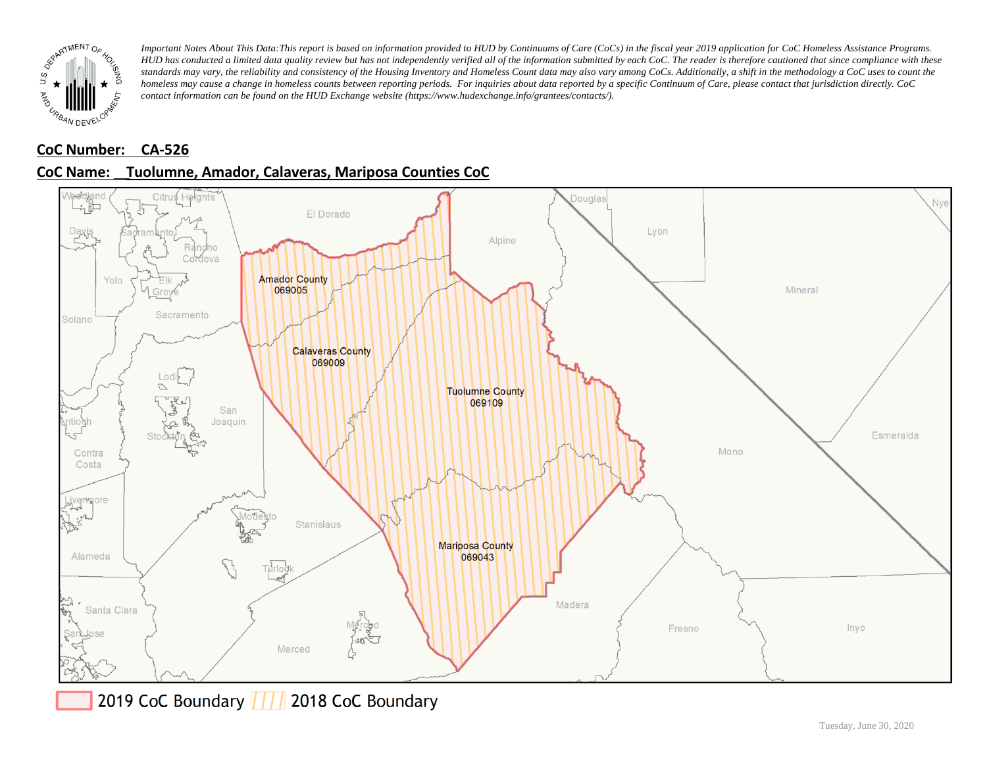

# **CoC Number: CA-526**

# **CoC Name: \_\_ Tuolumne, Amador, Calaveras, Mariposa Counties CoC**



2019 CoC Boundary 777 2018 CoC Boundary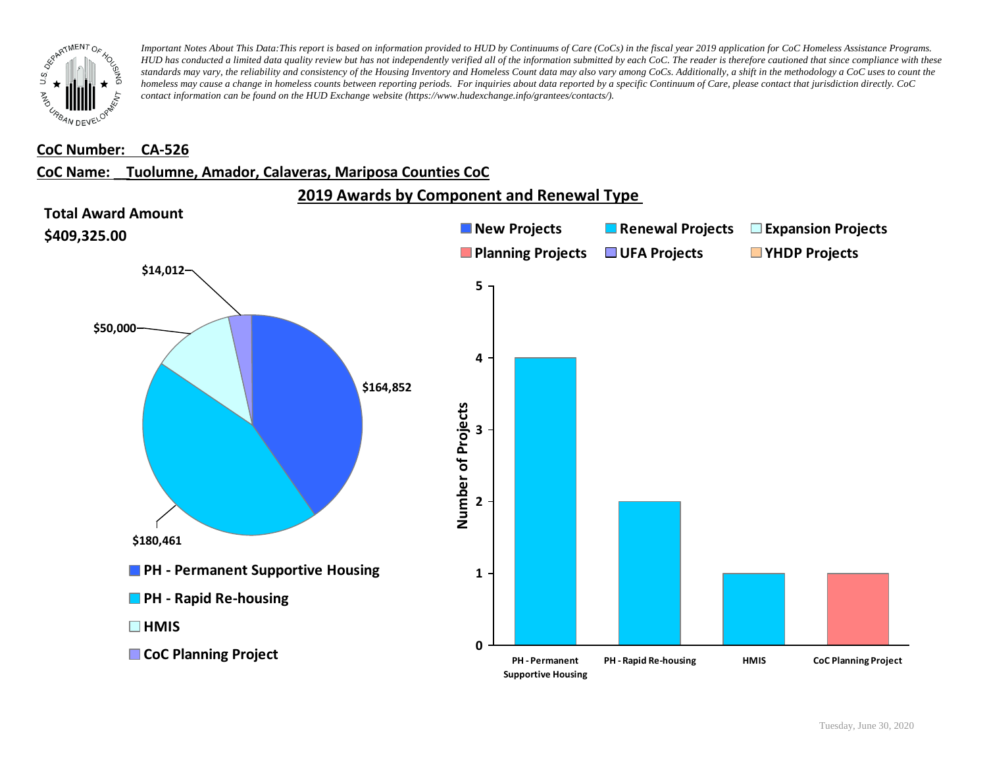

#### **CoC Number: CA-526**

#### **CoC Name: \_\_ Tuolumne, Amador, Calaveras, Mariposa Counties CoC**

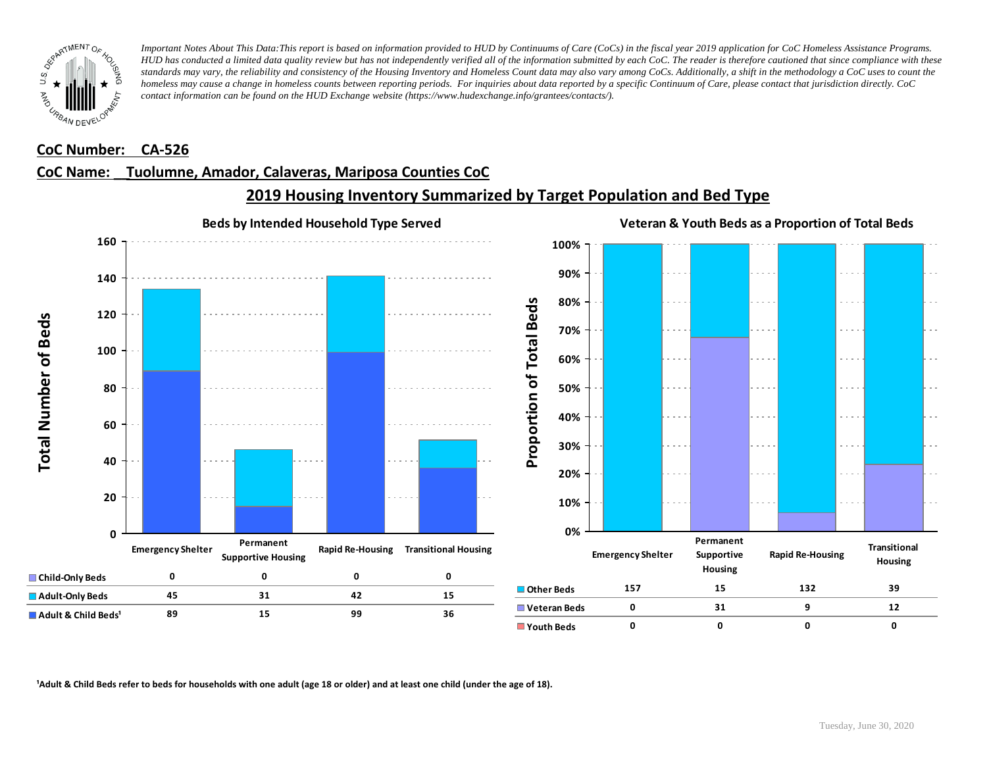

#### **CoC Number: CA-526**

### **CoC Name: \_\_ Tuolumne, Amador, Calaveras, Mariposa Counties CoC**



**2019 Housing Inventory Summarized by Target Population and Bed Type**

<sup>1</sup> Adult & Child Beds refer to beds for households with one adult (age 18 or older) and at least one child (under the age of 18).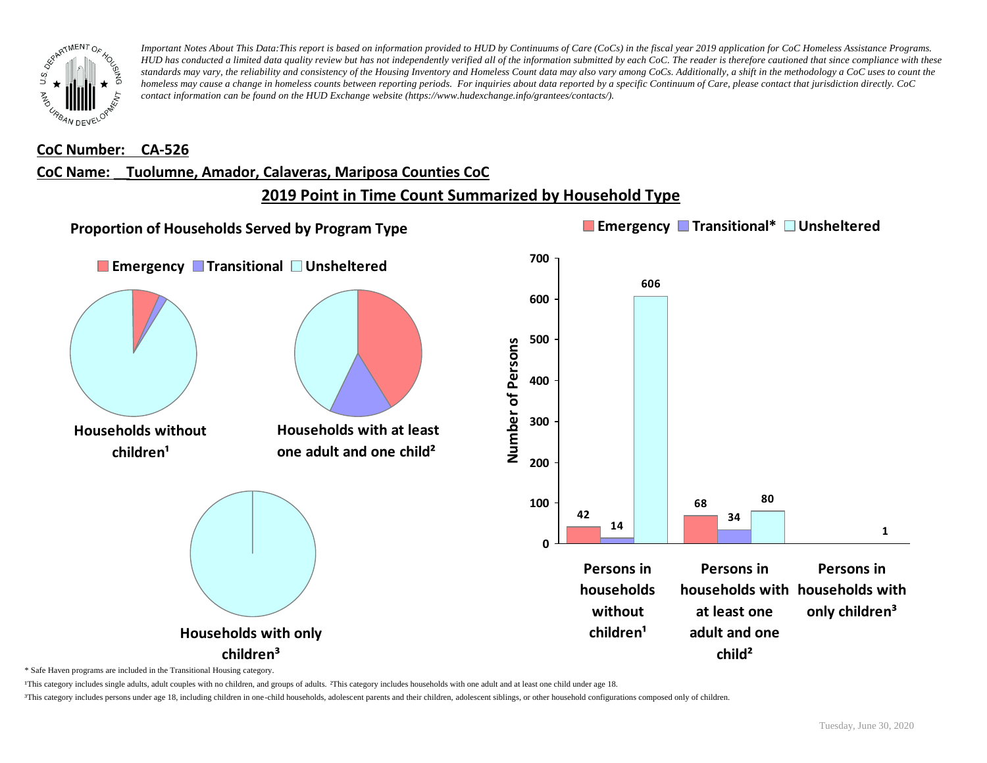

#### **CoC Number: CA-526**

#### **CoC Name: \_\_ Tuolumne, Amador, Calaveras, Mariposa Counties CoC**

# **2019 Point in Time Count Summarized by Household Type**



\* Safe Haven programs are included in the Transitional Housing category.

¹This category includes single adults, adult couples with no children, and groups of adults. ²This category includes households with one adult and at least one child under age 18.

³This category includes persons under age 18, including children in one-child households, adolescent parents and their children, adolescent siblings, or other household configurations composed only of children.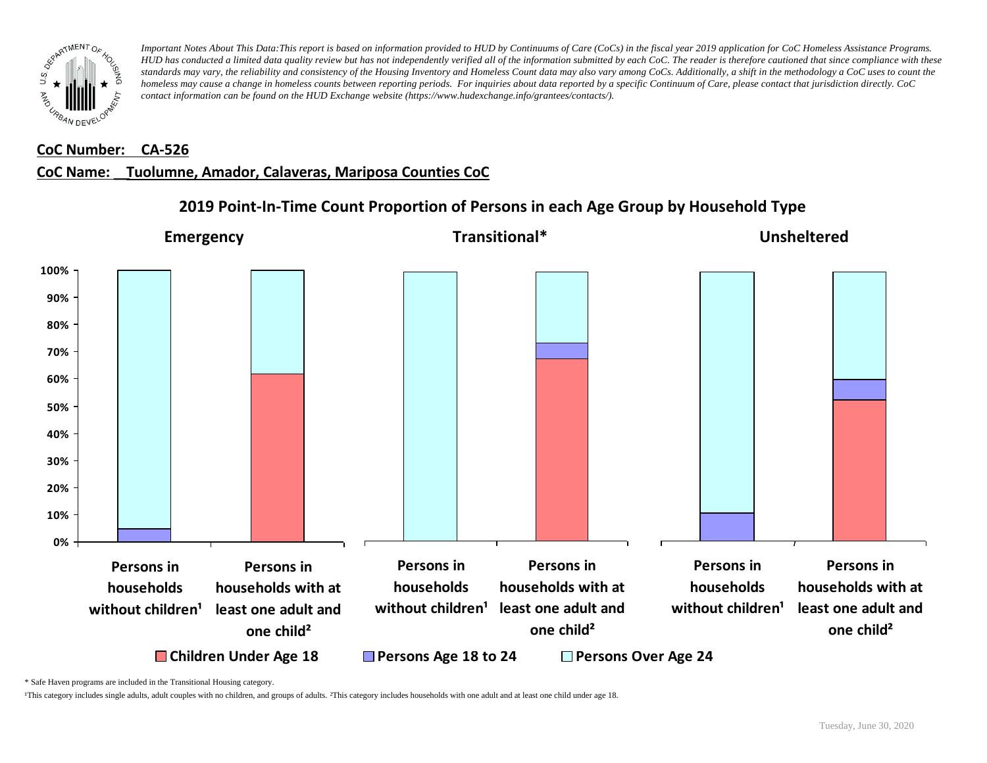

#### **CoC Number: CA-526**

## **CoC Name: \_\_ Tuolumne, Amador, Calaveras, Mariposa Counties CoC**

#### **0% 10% 20% 30% 40% 50% 60% 70% 80% 90% 100% Persons in households** without children<sup>1</sup> **Persons in households with at least one adult and one child²** ■ Children Under Age 18 **Persons Age 18 to 24** Persons Over Age 24 **Persons in households** without children<sup>1</sup> least one adult and **Persons in households with at one child² Persons in households** without children<sup>1</sup> **Persons in households with at least one adult and one child² Emergency Transitional\* Unsheltered**

# **2019 Point-In-Time Count Proportion of Persons in each Age Group by Household Type**

\* Safe Haven programs are included in the Transitional Housing category.

¹This category includes single adults, adult couples with no children, and groups of adults. ²This category includes households with one adult and at least one child under age 18.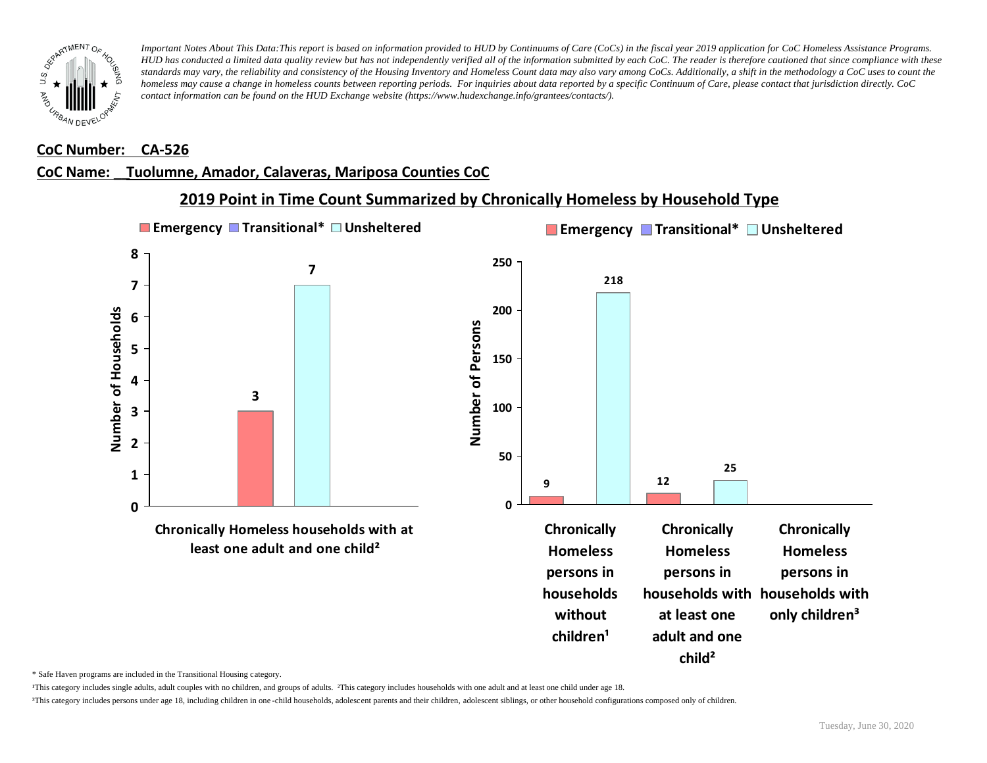

#### **CoC Number: CA-526**

# **CoC Name: \_\_ Tuolumne, Amador, Calaveras, Mariposa Counties CoC**



**2019 Point in Time Count Summarized by Chronically Homeless by Household Type**

\* Safe Haven programs are included in the Transitional Housing category.

¹This category includes single adults, adult couples with no children, and groups of adults. ²This category includes households with one adult and at least one child under age 18.

³This category includes persons under age 18, including children in one -child households, adolescent parents and their children, adolescent siblings, or other household configurations composed only of children.